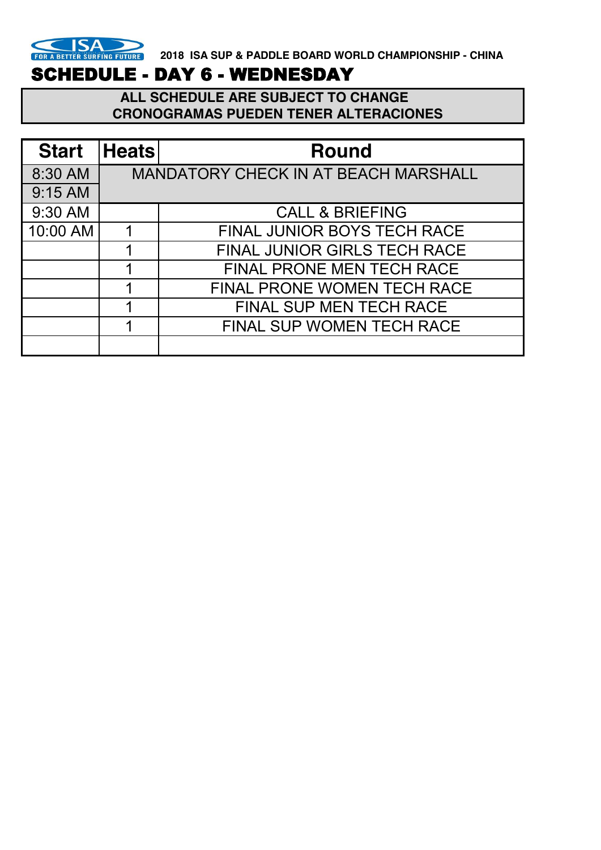

# SCHEDULE - DAY 6 - WEDNESDAY

 **ALL SCHEDULE ARE SUBJECT TO CHANGE CRONOGRAMAS PUEDEN TENER ALTERACIONES** 

| <b>Start</b> | <b>Heats</b> | <b>Round</b>                                |
|--------------|--------------|---------------------------------------------|
| 8:30 AM      |              | <b>MANDATORY CHECK IN AT BEACH MARSHALL</b> |
| 9:15 AM      |              |                                             |
| 9:30 AM      |              | <b>CALL &amp; BRIEFING</b>                  |
| 10:00 AM     |              | <b>FINAL JUNIOR BOYS TECH RACE</b>          |
|              |              | FINAL JUNIOR GIRLS TECH RACE                |
|              |              | <b>FINAL PRONE MEN TECH RACE</b>            |
|              |              | <b>FINAL PRONE WOMEN TECH RACE</b>          |
|              |              | <b>FINAL SUP MEN TECH RACE</b>              |
|              |              | FINAL SUP WOMEN TECH RACE                   |
|              |              |                                             |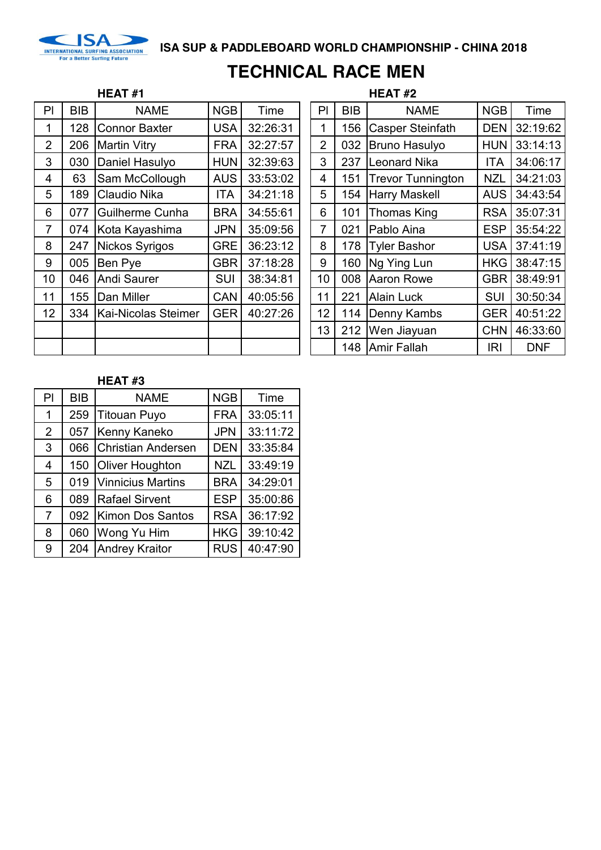

# **TECHNICAL RACE MEN**

## **HEAT #1 HEAT #2**

| P              | <b>BIB</b> | <b>NAME</b>          | <b>NGB</b> | Time     | PI             | <b>BIB</b> | <b>NAME</b>              | <b>NGB</b> | Time       |
|----------------|------------|----------------------|------------|----------|----------------|------------|--------------------------|------------|------------|
| 1              | 128        | <b>Connor Baxter</b> | <b>USA</b> | 32:26:31 | 1              | 156        | <b>Casper Steinfath</b>  | <b>DEN</b> | 32:19:62   |
| $\overline{2}$ | 206        | <b>Martin Vitry</b>  | <b>FRA</b> | 32:27:57 | 2              | 032        | <b>Bruno Hasulyo</b>     | <b>HUN</b> | 33:14:13   |
| 3              | 030        | Daniel Hasulyo       | <b>HUN</b> | 32:39:63 | 3              | 237        | <b>Leonard Nika</b>      | <b>ITA</b> | 34:06:17   |
| 4              | 63         | Sam McCollough       | <b>AUS</b> | 33:53:02 | 4              | 151        | <b>Trevor Tunnington</b> | <b>NZL</b> | 34:21:03   |
| 5              | 189        | Claudio Nika         | <b>ITA</b> | 34:21:18 | 5              |            | 154 Harry Maskell        | <b>AUS</b> | 34:43:54   |
| 6              | 077        | Guilherme Cunha      | <b>BRA</b> | 34:55:61 | 6              | 101        | <b>Thomas King</b>       | <b>RSA</b> | 35:07:31   |
| 7              | 074        | Kota Kayashima       | <b>JPN</b> | 35:09:56 | $\overline{7}$ | 021        | Pablo Aina               | <b>ESP</b> | 35:54:22   |
| 8              | 247        | Nickos Syrigos       | <b>GRE</b> | 36:23:12 | 8              | 178        | <b>Tyler Bashor</b>      | <b>USA</b> | 37:41:19   |
| 9              | 005        | Ben Pye              | <b>GBR</b> | 37:18:28 | 9              | 160        | Ng Ying Lun              | <b>HKG</b> | 38:47:15   |
| 10             | 046        | Andi Saurer          | <b>SUI</b> | 38:34:81 | 10             | 008        | <b>Aaron Rowe</b>        | <b>GBR</b> | 38:49:91   |
| 11             | 155        | Dan Miller           | <b>CAN</b> | 40:05:56 | 11             | 221        | <b>Alain Luck</b>        | <b>SUI</b> | 30:50:34   |
| 12             | 334        | Kai-Nicolas Steimer  | <b>GER</b> | 40:27:26 | 12             |            | 114   Denny Kambs        | <b>GER</b> | 40:51:22   |
|                |            |                      |            |          | 13             | 212        | Wen Jiayuan              | <b>CHN</b> | 46:33:60   |
|                |            |                      |            |          |                |            | 148 Amir Fallah          | IRI        | <b>DNF</b> |

| PI             | <b>BIB</b> | <b>NAME</b>              | <b>NGB</b> | Time       |
|----------------|------------|--------------------------|------------|------------|
| 1              | 156        | <b>Casper Steinfath</b>  | <b>DEN</b> | 32:19:62   |
| $\overline{2}$ | 032        | <b>Bruno Hasulyo</b>     | <b>HUN</b> | 33:14:13   |
| 3              | 237        | Leonard Nika             | ITA        | 34:06:17   |
| 4              | 151        | <b>Trevor Tunnington</b> | <b>NZL</b> | 34:21:03   |
| 5              | 154        | <b>Harry Maskell</b>     | <b>AUS</b> | 34:43:54   |
| 6              | 101        | Thomas King              | <b>RSA</b> | 35:07:31   |
| $\overline{7}$ | 021        | Pablo Aina               | <b>ESP</b> | 35:54:22   |
| 8              | 178        | <b>Tyler Bashor</b>      | <b>USA</b> | 37:41:19   |
| 9              | 160        | Ng Ying Lun              | <b>HKG</b> | 38:47:15   |
| 10             | 008        | <b>Aaron Rowe</b>        | <b>GBR</b> | 38:49:91   |
| 11             | 221        | <b>Alain Luck</b>        | SUI        | 30:50:34   |
| 12             | 114        | Denny Kambs              | <b>GER</b> | 40:51:22   |
| 13             | 212        | Wen Jiayuan              | <b>CHN</b> | 46:33:60   |
|                | 148        | Amir Fallah              | IRI        | <b>DNF</b> |

| PI             | <b>BIB</b> | <b>NAME</b>               | <b>NGB</b> | Time     |
|----------------|------------|---------------------------|------------|----------|
| 1              | 259        | <b>Titouan Puyo</b>       | <b>FRA</b> | 33:05:11 |
| $\overline{2}$ | 057        | Kenny Kaneko              | <b>JPN</b> | 33:11:72 |
| 3              | 066        | <b>Christian Andersen</b> | <b>DEN</b> | 33:35:84 |
| 4              | 150        | <b>Oliver Houghton</b>    | <b>NZL</b> | 33:49:19 |
| 5              | 019        | <b>Vinnicius Martins</b>  | <b>BRA</b> | 34:29:01 |
| 6              | 089        | <b>Rafael Sirvent</b>     | <b>ESP</b> | 35:00:86 |
| $\overline{7}$ | 092        | Kimon Dos Santos          | <b>RSA</b> | 36:17:92 |
| 8              | 060        | Wong Yu Him               | <b>HKG</b> | 39:10:42 |
| 9              | 204        | <b>Andrey Kraitor</b>     | <b>RUS</b> | 40:47:90 |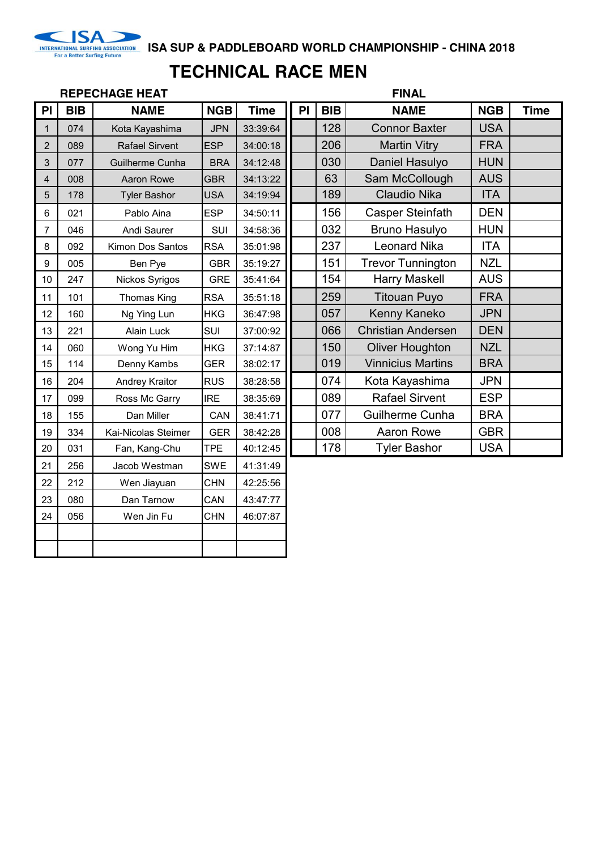

INTERNATIONAL SURFING ASSOCIATION<br>For a Better Surfing Future

# **TECHNICAL RACE MEN**

|                |            | <b>REPECHAGE HEAT</b> |            |             |    |            | <b>FINAL</b>              |            |             |
|----------------|------------|-----------------------|------------|-------------|----|------------|---------------------------|------------|-------------|
| PI             | <b>BIB</b> | <b>NAME</b>           | <b>NGB</b> | <b>Time</b> | PI | <b>BIB</b> | <b>NAME</b>               | <b>NGB</b> | <b>Time</b> |
| 1              | 074        | Kota Kayashima        | <b>JPN</b> | 33:39:64    |    | 128        | <b>Connor Baxter</b>      | <b>USA</b> |             |
| $\overline{2}$ | 089        | <b>Rafael Sirvent</b> | <b>ESP</b> | 34:00:18    |    | 206        | <b>Martin Vitry</b>       | <b>FRA</b> |             |
| 3              | 077        | Guilherme Cunha       | <b>BRA</b> | 34:12:48    |    | 030        | Daniel Hasulyo            | <b>HUN</b> |             |
| $\overline{4}$ | 008        | Aaron Rowe            | <b>GBR</b> | 34:13:22    |    | 63         | Sam McCollough            | <b>AUS</b> |             |
| 5              | 178        | <b>Tyler Bashor</b>   | <b>USA</b> | 34:19:94    |    | 189        | <b>Claudio Nika</b>       | <b>ITA</b> |             |
| 6              | 021        | Pablo Aina            | <b>ESP</b> | 34:50:11    |    | 156        | <b>Casper Steinfath</b>   | <b>DEN</b> |             |
| $\overline{7}$ | 046        | Andi Saurer           | SUI        | 34:58:36    |    | 032        | <b>Bruno Hasulyo</b>      | <b>HUN</b> |             |
| 8              | 092        | Kimon Dos Santos      | <b>RSA</b> | 35:01:98    |    | 237        | <b>Leonard Nika</b>       | <b>ITA</b> |             |
| $9\,$          | 005        | Ben Pye               | <b>GBR</b> | 35:19:27    |    | 151        | <b>Trevor Tunnington</b>  | <b>NZL</b> |             |
| 10             | 247        | Nickos Syrigos        | <b>GRE</b> | 35:41:64    |    | 154        | <b>Harry Maskell</b>      | <b>AUS</b> |             |
| 11             | 101        | <b>Thomas King</b>    | <b>RSA</b> | 35:51:18    |    | 259        | <b>Titouan Puyo</b>       | <b>FRA</b> |             |
| 12             | 160        | Ng Ying Lun           | <b>HKG</b> | 36:47:98    |    | 057        | Kenny Kaneko              | <b>JPN</b> |             |
| 13             | 221        | Alain Luck            | SUI        | 37:00:92    |    | 066        | <b>Christian Andersen</b> | <b>DEN</b> |             |
| 14             | 060        | Wong Yu Him           | <b>HKG</b> | 37:14:87    |    | 150        | <b>Oliver Houghton</b>    | <b>NZL</b> |             |
| 15             | 114        | Denny Kambs           | <b>GER</b> | 38:02:17    |    | 019        | <b>Vinnicius Martins</b>  | <b>BRA</b> |             |
| 16             | 204        | Andrey Kraitor        | <b>RUS</b> | 38:28:58    |    | 074        | Kota Kayashima            | <b>JPN</b> |             |
| 17             | 099        | Ross Mc Garry         | <b>IRE</b> | 38:35:69    |    | 089        | <b>Rafael Sirvent</b>     | <b>ESP</b> |             |
| 18             | 155        | Dan Miller            | CAN        | 38:41:71    |    | 077        | Guilherme Cunha           | <b>BRA</b> |             |
| 19             | 334        | Kai-Nicolas Steimer   | <b>GER</b> | 38:42:28    |    | 008        | Aaron Rowe                | <b>GBR</b> |             |
| 20             | 031        | Fan, Kang-Chu         | <b>TPE</b> | 40:12:45    |    | 178        | <b>Tyler Bashor</b>       | <b>USA</b> |             |
| 21             | 256        | Jacob Westman         | <b>SWE</b> | 41:31:49    |    |            |                           |            |             |
| 22             | 212        | Wen Jiayuan           | <b>CHN</b> | 42:25:56    |    |            |                           |            |             |
| 23             | 080        | Dan Tarnow            | CAN        | 43:47:77    |    |            |                           |            |             |
| 24             | 056        | Wen Jin Fu            | <b>CHN</b> | 46:07:87    |    |            |                           |            |             |
|                |            |                       |            |             |    |            |                           |            |             |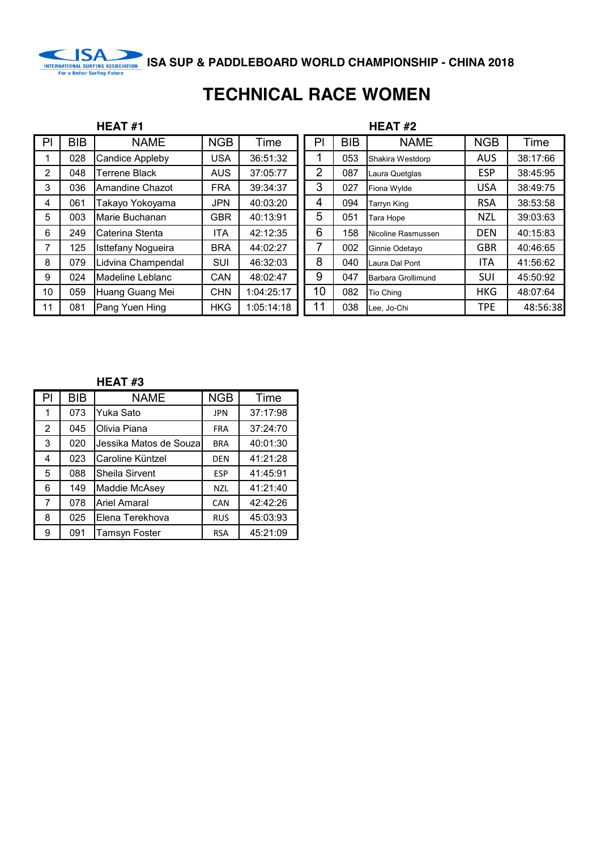

# **TECHNICAL RACE WOMEN**

|                |            | HEAT#1                    |            |            |                |            | <b>HEAT#2</b>      |            |          |
|----------------|------------|---------------------------|------------|------------|----------------|------------|--------------------|------------|----------|
| P              | <b>BIB</b> | <b>NAME</b>               | <b>NGB</b> | Time       | PI             | <b>BIB</b> | <b>NAME</b>        | <b>NGB</b> | Time     |
|                | 028        | <b>Candice Appleby</b>    | USA        | 36:51:32   |                | 053        | Shakira Westdorp   | <b>AUS</b> | 38:17:66 |
| $\overline{2}$ | 048        | Terrene Black             | <b>AUS</b> | 37:05:77   | $\overline{2}$ | 087        | Laura Quetglas     | <b>ESP</b> | 38:45:95 |
| 3              | 036        | Amandine Chazot           | <b>FRA</b> | 39:34:37   | 3              | 027        | Fiona Wylde        | <b>USA</b> | 38:49:75 |
| 4              | 061        | Takayo Yokoyama           | <b>JPN</b> | 40:03:20   | 4              | 094        | <b>Tarryn King</b> | <b>RSA</b> | 38:53:58 |
| 5              | 003        | Marie Buchanan            | <b>GBR</b> | 40:13:91   | 5              | 051        | Tara Hope          | <b>NZL</b> | 39:03:63 |
| 6              | 249        | Caterina Stenta           | ITA        | 42:12:35   | 6              | 158        | Nicoline Rasmussen | <b>DEN</b> | 40:15:83 |
| 7              | 125        | <b>Isttefany Nogueira</b> | <b>BRA</b> | 44:02:27   |                | 002        | Ginnie Odetavo     | <b>GBR</b> | 40:46:65 |
| 8              | 079        | Lidvina Champendal        | SUI        | 46:32:03   | 8              | 040        | Laura Dal Pont     | ITA        | 41:56:62 |
| 9              | 024        | Madeline Leblanc          | <b>CAN</b> | 48:02:47   | 9              | 047        | Barbara Grollimund | SUI        | 45:50:92 |
| 10             | 059        | Huang Guang Mei           | <b>CHN</b> | 1:04:25:17 | 10             | 082        | <b>Tio Ching</b>   | <b>HKG</b> | 48:07:64 |
| 11             | 081        | Pang Yuen Hing            | <b>HKG</b> | 1:05:14:18 | 11             | 038        | Lee, Jo-Chi        | <b>TPE</b> | 48:56:38 |

| PI | <b>BIB</b> | <b>NAME</b>            | <b>NGB</b> | Time     |
|----|------------|------------------------|------------|----------|
|    | 073        | Yuka Sato              | <b>JPN</b> | 37:17:98 |
| 2  | 045        | Olivia Piana           | <b>FRA</b> | 37:24:70 |
| 3  | 020        | Jessika Matos de Souza | <b>BRA</b> | 40:01:30 |
| 4  | 023        | Caroline Küntzel       | <b>DEN</b> | 41:21:28 |
| 5  | 088        | Sheila Sirvent         | <b>ESP</b> | 41:45:91 |
| 6  | 149        | Maddie McAsey          | <b>NZL</b> | 41:21:40 |
| 7  | 078        | <b>Ariel Amaral</b>    | CAN        | 42:42:26 |
| 8  | 025        | Elena Terekhova        | <b>RUS</b> | 45:03:93 |
| 9  | 091        | <b>Tamsyn Foster</b>   | <b>RSA</b> | 45:21:09 |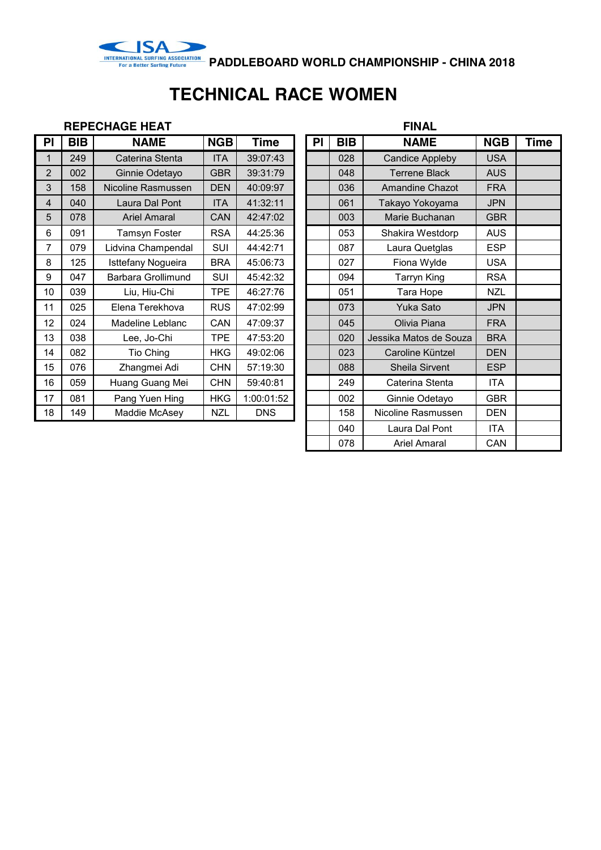

INTERNATIONAL SURFING ASSOCIATION<br>For a Better Surfing Future **PADDLEBOARD WORLD CHAMPIONSHIP - CHINA 2018** 

# **TECHNICAL RACE WOMEN**

## **REPECHAGE HEAT FINAL**

| PI             | <b>BIB</b> | <b>NAME</b>         | <b>NGB</b> | Time       | PI | BIB | <b>NAME</b>            | <b>NGB</b> | Time |
|----------------|------------|---------------------|------------|------------|----|-----|------------------------|------------|------|
| $\mathbf{1}$   | 249        | Caterina Stenta     | <b>ITA</b> | 39:07:43   |    | 028 | <b>Candice Appleby</b> | <b>USA</b> |      |
| $\overline{2}$ | 002        | Ginnie Odetayo      | <b>GBR</b> | 39:31:79   |    | 048 | <b>Terrene Black</b>   | <b>AUS</b> |      |
| 3              | 158        | Nicoline Rasmussen  | <b>DEN</b> | 40:09:97   |    | 036 | Amandine Chazot        | <b>FRA</b> |      |
| $\overline{4}$ | 040        | Laura Dal Pont      | <b>ITA</b> | 41:32:11   |    | 061 | Takayo Yokoyama        | <b>JPN</b> |      |
| 5              | 078        | <b>Ariel Amaral</b> | CAN        | 42:47:02   |    | 003 | Marie Buchanan         | <b>GBR</b> |      |
| 6              | 091        | Tamsyn Foster       | <b>RSA</b> | 44:25:36   |    | 053 | Shakira Westdorp       | <b>AUS</b> |      |
| 7              | 079        | Lidvina Champendal  | SUI        | 44:42:71   |    | 087 | Laura Quetglas         | <b>ESP</b> |      |
| 8              | 125        | Isttefany Nogueira  | <b>BRA</b> | 45:06:73   |    | 027 | Fiona Wylde            | <b>USA</b> |      |
| 9              | 047        | Barbara Grollimund  | <b>SUI</b> | 45:42:32   |    | 094 | Tarryn King            | <b>RSA</b> |      |
| 10             | 039        | Liu, Hiu-Chi        | <b>TPE</b> | 46:27:76   |    | 051 | Tara Hope              | <b>NZL</b> |      |
| 11             | 025        | Elena Terekhova     | <b>RUS</b> | 47:02:99   |    | 073 | Yuka Sato              | <b>JPN</b> |      |
| 12             | 024        | Madeline Leblanc    | CAN        | 47:09:37   |    | 045 | Olivia Piana           | <b>FRA</b> |      |
| 13             | 038        | Lee, Jo-Chi         | <b>TPE</b> | 47:53:20   |    | 020 | Jessika Matos de Souza | <b>BRA</b> |      |
| 14             | 082        | Tio Ching           | <b>HKG</b> | 49:02:06   |    | 023 | Caroline Küntzel       | <b>DEN</b> |      |
| 15             | 076        | Zhangmei Adi        | <b>CHN</b> | 57:19:30   |    | 088 | Sheila Sirvent         | <b>ESP</b> |      |
| 16             | 059        | Huang Guang Mei     | <b>CHN</b> | 59:40:81   |    | 249 | Caterina Stenta        | ITA        |      |
| 17             | 081        | Pang Yuen Hing      | <b>HKG</b> | 1:00:01:52 |    | 002 | Ginnie Odetayo         | <b>GBR</b> |      |
| 18             | 149        | Maddie McAsey       | <b>NZL</b> | <b>DNS</b> |    | 158 | Nicoline Rasmussen     | <b>DEN</b> |      |
|                |            |                     |            |            |    |     |                        |            |      |

| PI | <b>BIB</b> | <b>NAME</b>            | <b>NGB</b> | <b>Time</b> |  |  |  |  |  |  |
|----|------------|------------------------|------------|-------------|--|--|--|--|--|--|
|    | 028        | <b>Candice Appleby</b> | <b>USA</b> |             |  |  |  |  |  |  |
|    | 048        | <b>Terrene Black</b>   | <b>AUS</b> |             |  |  |  |  |  |  |
|    | 036        | Amandine Chazot        | <b>FRA</b> |             |  |  |  |  |  |  |
|    | 061        | Takayo Yokoyama        | <b>JPN</b> |             |  |  |  |  |  |  |
|    | 003        | Marie Buchanan         | <b>GBR</b> |             |  |  |  |  |  |  |
|    | 053        | Shakira Westdorp       | <b>AUS</b> |             |  |  |  |  |  |  |
|    | 087        | Laura Quetglas         | <b>ESP</b> |             |  |  |  |  |  |  |
|    | 027        | Fiona Wylde            | <b>USA</b> |             |  |  |  |  |  |  |
|    | 094        | <b>Tarryn King</b>     | <b>RSA</b> |             |  |  |  |  |  |  |
|    | 051        | Tara Hope              | <b>NZL</b> |             |  |  |  |  |  |  |
|    | 073        | Yuka Sato              | <b>JPN</b> |             |  |  |  |  |  |  |
|    | 045        | Olivia Piana           | <b>FRA</b> |             |  |  |  |  |  |  |
|    | 020        | Jessika Matos de Souza | <b>BRA</b> |             |  |  |  |  |  |  |
|    | 023        | Caroline Küntzel       | <b>DEN</b> |             |  |  |  |  |  |  |
|    | 088        | Sheila Sirvent         | <b>ESP</b> |             |  |  |  |  |  |  |
|    | 249        | Caterina Stenta        | <b>ITA</b> |             |  |  |  |  |  |  |
|    | 002        | Ginnie Odetayo         | <b>GBR</b> |             |  |  |  |  |  |  |
|    | 158        | Nicoline Rasmussen     | <b>DEN</b> |             |  |  |  |  |  |  |
|    | 040        | Laura Dal Pont         | <b>ITA</b> |             |  |  |  |  |  |  |
|    | 078        | <b>Ariel Amaral</b>    | CAN        |             |  |  |  |  |  |  |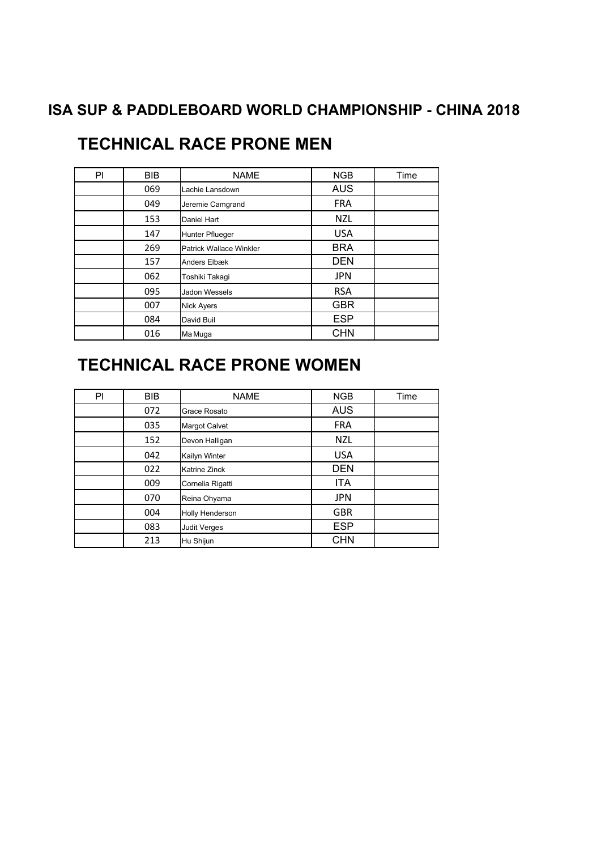| PI | <b>BIB</b> | <b>NAME</b>                    | <b>NGB</b> | Time |
|----|------------|--------------------------------|------------|------|
|    | 069        | Lachie Lansdown                | <b>AUS</b> |      |
|    | 049        | Jeremie Camgrand               | <b>FRA</b> |      |
|    | 153        | Daniel Hart                    | <b>NZL</b> |      |
|    | 147        | <b>Hunter Pflueger</b>         | <b>USA</b> |      |
|    | 269        | <b>Patrick Wallace Winkler</b> | <b>BRA</b> |      |
|    | 157        | Anders Elbæk                   | <b>DEN</b> |      |
|    | 062        | Toshiki Takagi                 | <b>JPN</b> |      |
|    | 095        | Jadon Wessels                  | <b>RSA</b> |      |
|    | 007        | <b>Nick Ayers</b>              | <b>GBR</b> |      |
|    | 084        | David Buil                     | <b>ESP</b> |      |
|    | 016        | Ma Muga                        | <b>CHN</b> |      |

# **TECHNICAL RACE PRONE MEN**

# **TECHNICAL RACE PRONE WOMEN**

| PI | <b>BIB</b> | <b>NAME</b>            | <b>NGB</b> | Time |
|----|------------|------------------------|------------|------|
|    | 072        | Grace Rosato           | <b>AUS</b> |      |
|    | 035        | <b>Margot Calvet</b>   | <b>FRA</b> |      |
|    | 152        | Devon Halligan         | <b>NZL</b> |      |
|    | 042        | Kailyn Winter          | <b>USA</b> |      |
|    | 022        | Katrine Zinck          | <b>DEN</b> |      |
|    | 009        | Cornelia Rigatti       | <b>ITA</b> |      |
|    | 070        | Reina Ohyama           | <b>JPN</b> |      |
|    | 004        | <b>Holly Henderson</b> | <b>GBR</b> |      |
|    | 083        | <b>Judit Verges</b>    | <b>ESP</b> |      |
|    | 213        | Hu Shijun              | <b>CHN</b> |      |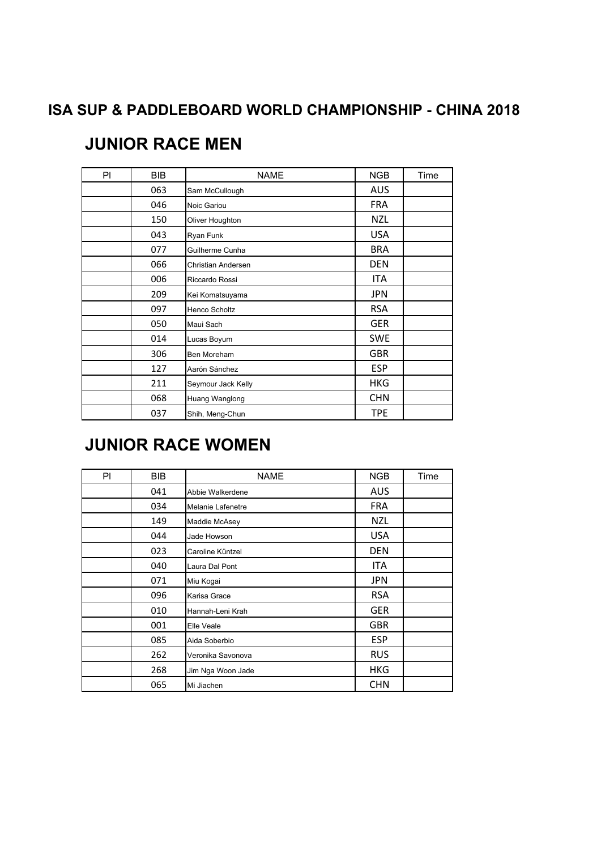| PI. | <b>BIB</b> | <b>NAME</b>          | <b>NGB</b> | Time |
|-----|------------|----------------------|------------|------|
|     | 063        | Sam McCullough       | <b>AUS</b> |      |
|     | 046        | Noic Gariou          | <b>FRA</b> |      |
|     | 150        | Oliver Houghton      | <b>NZL</b> |      |
|     | 043        | Ryan Funk            | <b>USA</b> |      |
|     | 077        | Guilherme Cunha      | <b>BRA</b> |      |
|     | 066        | Christian Andersen   | <b>DEN</b> |      |
|     | 006        | Riccardo Rossi       | ITA        |      |
|     | 209        | Kei Komatsuyama      | <b>JPN</b> |      |
|     | 097        | <b>Henco Scholtz</b> | <b>RSA</b> |      |
|     | 050        | Maui Sach            | <b>GER</b> |      |
|     | 014        | Lucas Boyum          | <b>SWE</b> |      |
|     | 306        | <b>Ben Moreham</b>   | <b>GBR</b> |      |
|     | 127        | Aarón Sánchez        | <b>ESP</b> |      |
|     | 211        | Seymour Jack Kelly   | <b>HKG</b> |      |
|     | 068        | Huang Wanglong       | <b>CHN</b> |      |
|     | 037        | Shih, Meng-Chun      | TPE        |      |

# **JUNIOR RACE MEN**

# **JUNIOR RACE WOMEN**

| PI | <b>BIB</b> | <b>NAME</b>       | <b>NGB</b> | Time |
|----|------------|-------------------|------------|------|
|    | 041        | Abbie Walkerdene  | <b>AUS</b> |      |
|    | 034        | Melanie Lafenetre | <b>FRA</b> |      |
|    | 149        | Maddie McAsey     | NZL        |      |
|    | 044        | Jade Howson       | <b>USA</b> |      |
|    | 023        | Caroline Küntzel  | <b>DEN</b> |      |
|    | 040        | Laura Dal Pont    | ITA        |      |
|    | 071        | Miu Kogai         | <b>JPN</b> |      |
|    | 096        | Karisa Grace      | <b>RSA</b> |      |
|    | 010        | Hannah-Leni Krah  | <b>GER</b> |      |
|    | 001        | Elle Veale        | <b>GBR</b> |      |
|    | 085        | Aida Soberbio     | <b>ESP</b> |      |
|    | 262        | Veronika Savonova | <b>RUS</b> |      |
|    | 268        | Jim Nga Woon Jade | <b>HKG</b> |      |
|    | 065        | Mi Jiachen        | <b>CHN</b> |      |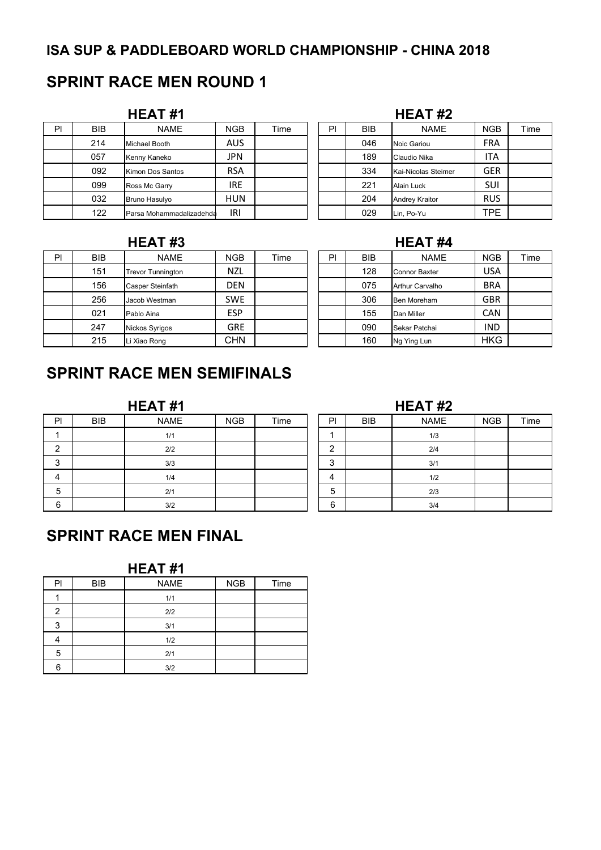# **SPRINT RACE MEN ROUND 1**

| PI | <b>BIB</b> | <b>NAME</b>              | <b>NGB</b> | Time | PI | <b>BIB</b> | <b>NAME</b>           | <b>NGB</b> | Time |
|----|------------|--------------------------|------------|------|----|------------|-----------------------|------------|------|
|    | 214        | Michael Booth            | <b>AUS</b> |      |    | 046        | Noic Gariou           | <b>FRA</b> |      |
|    | 057        | Kenny Kaneko             | JPN        |      |    | 189        | Claudio Nika          | ITA        |      |
|    | 092        | Kimon Dos Santos         | <b>RSA</b> |      |    | 334        | Kai-Nicolas Steimer   | <b>GER</b> |      |
|    | 099        | Ross Mc Garry            | <b>IRE</b> |      |    | 221        | Alain Luck            | SUI        |      |
|    | 032        | Bruno Hasulvo            | <b>HUN</b> |      |    | 204        | <b>Andrey Kraitor</b> | <b>RUS</b> |      |
|    | 122        | Parsa Mohammadalizadehda | IRI        |      |    | 029        | Lin, Po-Yu            | <b>TPE</b> |      |

| HEAT#1                   |            |      |    |            |                     |            |      |
|--------------------------|------------|------|----|------------|---------------------|------------|------|
| <b>NAME</b>              | <b>NGB</b> | Time | PI | <b>BIB</b> | <b>NAME</b>         | <b>NGB</b> | Time |
| Michael Booth            | <b>AUS</b> |      |    | 046        | Noic Gariou         | <b>FRA</b> |      |
| Kenny Kaneko             | <b>JPN</b> |      |    | 189        | Claudio Nika        | ITA        |      |
| Kimon Dos Santos         | <b>RSA</b> |      |    | 334        | Kai-Nicolas Steimer | <b>GER</b> |      |
| Ross Mc Garry            | <b>IRE</b> |      |    | 221        | Alain Luck          | <b>SUI</b> |      |
| Bruno Hasulyo            | <b>HUN</b> |      |    | 204        | Andrey Kraitor      | <b>RUS</b> |      |
| Parsa Mohammadalizadehda | IRI        |      |    | 029        | Lin, Po-Yu          | <b>TPE</b> |      |

| PI | <b>BIB</b> | <b>NAME</b>              | <b>NGB</b> | Time | PI | <b>BIB</b> | <b>NAME</b>          | <b>NGB</b> | Time |
|----|------------|--------------------------|------------|------|----|------------|----------------------|------------|------|
|    | 151        | <b>Trevor Tunnington</b> | <b>NZL</b> |      |    | 128        | <b>Connor Baxter</b> | USA        |      |
|    | 156        | <b>Casper Steinfath</b>  | <b>DEN</b> |      |    | 075        | Arthur Carvalho      | <b>BRA</b> |      |
|    | 256        | Jacob Westman            | <b>SWE</b> |      |    | 306        | Ben Moreham          | <b>GBR</b> |      |
|    | 021        | Pablo Aina               | <b>ESP</b> |      |    | 155        | Dan Miller           | <b>CAN</b> |      |
|    | 247        | Nickos Syrigos           | <b>GRE</b> |      |    | 090        | Sekar Patchai        | <b>IND</b> |      |
|    | 215        | Li Xiao Rong             | <b>CHN</b> |      |    | 160        | Ng Ying Lun          | <b>HKG</b> |      |

# **HEAT #3 HEAT #4**

| PI | <b>BIB</b> | <b>NAME</b>            | <b>NGB</b> | Time |
|----|------------|------------------------|------------|------|
|    | 128        | <b>Connor Baxter</b>   | <b>USA</b> |      |
|    | 075        | <b>Arthur Carvalho</b> | <b>BRA</b> |      |
|    | 306        | Ben Moreham            | <b>GBR</b> |      |
|    | 155        | Dan Miller             | <b>CAN</b> |      |
|    | 090        | Sekar Patchai          | IND        |      |
|    | 160        | Ng Ying Lun            | <b>HKG</b> |      |

# **SPRINT RACE MEN SEMIFINALS**

| P <sub>1</sub> | <b>BIB</b> | <b>NAME</b> | <b>NGB</b> | Time | PI     | BIB | <b>NAME</b> | <b>NGB</b> | Time |
|----------------|------------|-------------|------------|------|--------|-----|-------------|------------|------|
|                |            | 1/1         |            |      |        |     | 1/3         |            |      |
| ົ<br>▃         |            | 2/2         |            |      | ◠      |     | 2/4         |            |      |
| $\sim$<br>J    |            | 3/3         |            |      | $\sim$ |     | 3/1         |            |      |
| 4              |            | 1/4         |            |      |        |     | 1/2         |            |      |
| 5              |            | 2/1         |            |      | 5      |     | 2/3         |            |      |
| 6              |            | 3/2         |            |      | 6      |     | 3/4         |            |      |

# **HEAT #1 HEAT #2**

# **SPRINT RACE MEN FINAL**

| PI | <b>BIB</b> | <b>NAME</b> | <b>NGB</b> | Time |
|----|------------|-------------|------------|------|
|    |            | 1/1         |            |      |
| 2  |            | 2/2         |            |      |
| 3  |            | 3/1         |            |      |
|    |            | 1/2         |            |      |
| 5  |            | 2/1         |            |      |
| հ  |            | 3/2         |            |      |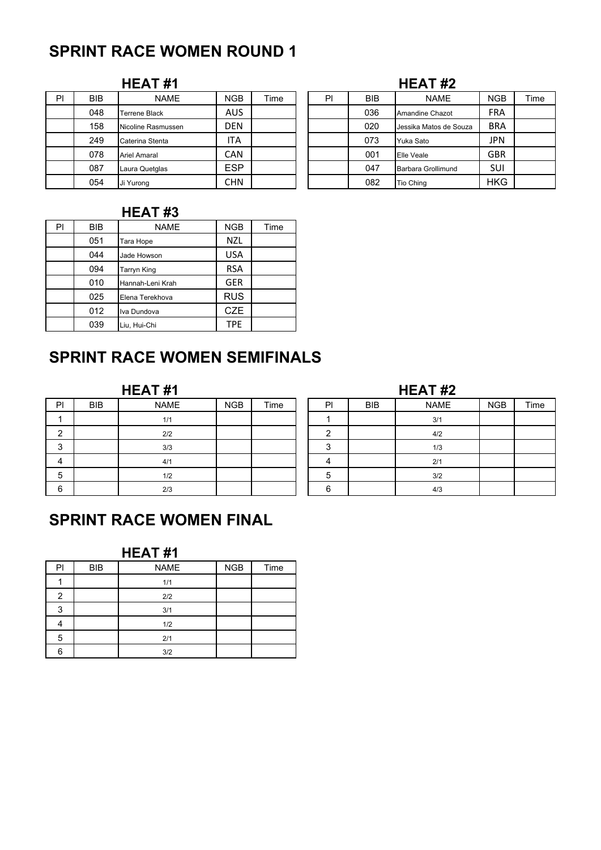# **SPRINT RACE WOMEN ROUND 1**

# **HEAT #1 HEAT #2**

| PI | <b>BIB</b> | <b>NAME</b>        | <b>NGB</b> | Time | PI | <b>BIB</b> | <b>NAME</b>            | <b>NGB</b> | Time |
|----|------------|--------------------|------------|------|----|------------|------------------------|------------|------|
|    | 048        | Terrene Black      | AUS        |      |    | 036        | Amandine Chazot        | <b>FRA</b> |      |
|    | 158        | Nicoline Rasmussen | <b>DEN</b> |      |    | 020        | Jessika Matos de Souza | <b>BRA</b> |      |
|    | 249        | Caterina Stenta    | ITA        |      |    | 073        | Yuka Sato              | JPN        |      |
|    | 078        | Ariel Amaral       | CAN        |      |    | 001        | <b>Elle Veale</b>      | <b>GBR</b> |      |
|    | 087        | Laura Quetglas     | <b>ESP</b> |      |    | 047        | Barbara Grollimund     | SUI        |      |
|    | 054        | Ji Yurong          | <b>CHN</b> |      |    | 082        | Tio Ching              | <b>HKG</b> |      |

| - 1<br>ı<br>I<br>. .<br>. . |  |  | ,<br>m<br>п<br>- |
|-----------------------------|--|--|------------------|
|-----------------------------|--|--|------------------|

| PI | <b>BIB</b> | <b>NAME</b>            | <b>NGB</b> | Time |
|----|------------|------------------------|------------|------|
|    | 036        | <b>Amandine Chazot</b> | <b>FRA</b> |      |
|    | 020        | Jessika Matos de Souza | <b>BRA</b> |      |
|    | 073        | Yuka Sato              | <b>JPN</b> |      |
|    | 001        | Elle Veale             | <b>GBR</b> |      |
|    | 047        | Barbara Grollimund     | <b>SUI</b> |      |
|    | 082        | Tio Ching              | <b>HKG</b> |      |

## **HEAT #3**

| PI | BIB | <b>NAME</b>      | <b>NGB</b> | Time |
|----|-----|------------------|------------|------|
|    | 051 | Tara Hope        | <b>NZL</b> |      |
|    | 044 | Jade Howson      | <b>USA</b> |      |
|    | 094 | Tarryn King      | <b>RSA</b> |      |
|    | 010 | Hannah-Leni Krah | <b>GER</b> |      |
|    | 025 | Elena Terekhova  | <b>RUS</b> |      |
|    | 012 | Iva Dundova      | <b>CZE</b> |      |
|    | 039 | Liu, Hui-Chi     | <b>TPE</b> |      |

# **SPRINT RACE WOMEN SEMIFINALS**

| P      | <b>BIB</b> | <b>NAME</b> | <b>NGB</b> | Time | PI     | <b>BIB</b> | <b>NAME</b> | <b>NGB</b> | Time |
|--------|------------|-------------|------------|------|--------|------------|-------------|------------|------|
|        |            | 1/1         |            |      |        |            | 3/1         |            |      |
|        |            | 2/2         |            |      |        |            | 4/2         |            |      |
| ົ<br>J |            | 3/3         |            |      |        |            | 1/3         |            |      |
| 4      |            | 4/1         |            |      |        |            | 2/1         |            |      |
| ა      |            | 1/2         |            |      |        |            | 3/2         |            |      |
| 6      |            | 2/3         |            |      | ⌒<br>r |            | 4/3         |            |      |

| <b>HEAT#1</b> |            |      | HEAT#2 |            |             |            |      |  |  |
|---------------|------------|------|--------|------------|-------------|------------|------|--|--|
| <b>NAME</b>   | <b>NGB</b> | Time | PI     | <b>BIB</b> | <b>NAME</b> | <b>NGB</b> | Time |  |  |
| 1/1           |            |      |        |            | 3/1         |            |      |  |  |
| 2/2           |            |      | ົ      |            | 4/2         |            |      |  |  |
| 3/3           |            |      | 3      |            | 1/3         |            |      |  |  |
| 4/1           |            |      | 4      |            | 2/1         |            |      |  |  |
| 1/2           |            |      | 5      |            | 3/2         |            |      |  |  |
| 2/3           |            |      | 6      |            | 4/3         |            |      |  |  |

# **SPRINT RACE WOMEN FINAL**

| PI | <b>BIB</b> | <b>NAME</b> | NGB | Time |
|----|------------|-------------|-----|------|
|    |            | 1/1         |     |      |
| 2  |            | 2/2         |     |      |
| 3  |            | 3/1         |     |      |
|    |            | 1/2         |     |      |
| 5  |            | 2/1         |     |      |
| 6  |            | 3/2         |     |      |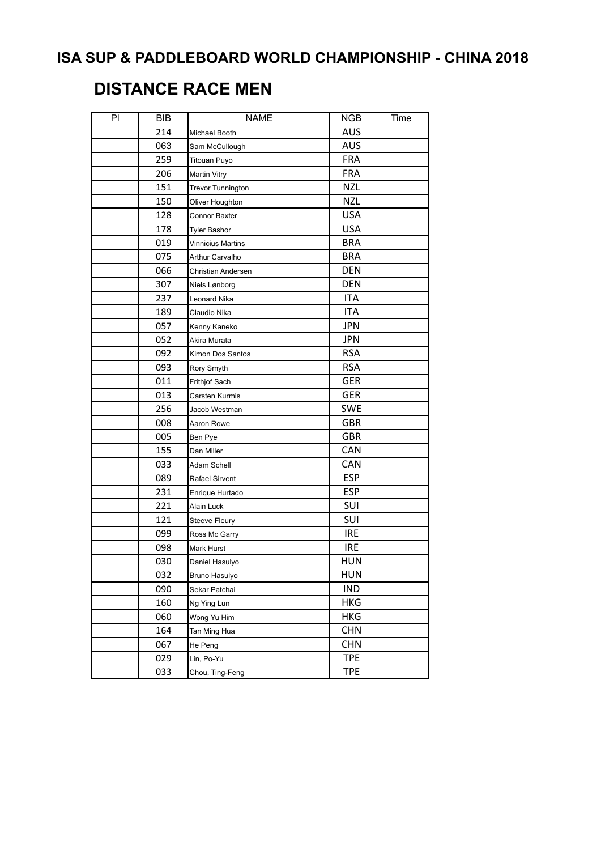# **DISTANCE RACE MEN**

| PI | <b>BIB</b> | <b>NAME</b>              | <b>NGB</b> | Time |
|----|------------|--------------------------|------------|------|
|    | 214        | Michael Booth            | <b>AUS</b> |      |
|    | 063        | Sam McCullough           | AUS        |      |
|    | 259        | <b>Titouan Puyo</b>      | <b>FRA</b> |      |
|    | 206        | <b>Martin Vitry</b>      | <b>FRA</b> |      |
|    | 151        | <b>Trevor Tunnington</b> | <b>NZL</b> |      |
|    | 150        | Oliver Houghton          | <b>NZL</b> |      |
|    | 128        | Connor Baxter            | <b>USA</b> |      |
|    | 178        | <b>Tyler Bashor</b>      | <b>USA</b> |      |
|    | 019        | Vinnicius Martins        | <b>BRA</b> |      |
|    | 075        | Arthur Carvalho          | <b>BRA</b> |      |
|    | 066        | Christian Andersen       | <b>DEN</b> |      |
|    | 307        | Niels Lønborg            | <b>DEN</b> |      |
|    | 237        | Leonard Nika             | <b>ITA</b> |      |
|    | 189        | Claudio Nika             | <b>ITA</b> |      |
|    | 057        | Kenny Kaneko             | <b>JPN</b> |      |
|    | 052        | Akira Murata             | <b>JPN</b> |      |
|    | 092        | Kimon Dos Santos         | <b>RSA</b> |      |
|    | 093        | Rory Smyth               | <b>RSA</b> |      |
|    | 011        | Frithjof Sach            | <b>GER</b> |      |
|    | 013        | Carsten Kurmis           | <b>GER</b> |      |
|    | 256        | Jacob Westman            | <b>SWE</b> |      |
|    | 008        | Aaron Rowe               | <b>GBR</b> |      |
|    | 005        | Ben Pye                  | <b>GBR</b> |      |
|    | 155        | Dan Miller               | CAN        |      |
|    | 033        | Adam Schell              | CAN        |      |
|    | 089        | Rafael Sirvent           | <b>ESP</b> |      |
|    | 231        | Enrique Hurtado          | <b>ESP</b> |      |
|    | 221        | <b>Alain Luck</b>        | SUI        |      |
|    | 121        | Steeve Fleury            | SUI        |      |
|    | 099        | Ross Mc Garry            | <b>IRE</b> |      |
|    | 098        | Mark Hurst               | <b>IRE</b> |      |
|    | 030        | Daniel Hasulyo           | HUN        |      |
|    | 032        | Bruno Hasulyo            | <b>HUN</b> |      |
|    | 090        | Sekar Patchai            | <b>IND</b> |      |
|    | 160        | Ng Ying Lun              | <b>HKG</b> |      |
|    | 060        | Wong Yu Him              | <b>HKG</b> |      |
|    | 164        | Tan Ming Hua             | <b>CHN</b> |      |
|    | 067        | He Peng                  | <b>CHN</b> |      |
|    | 029        | Lin, Po-Yu               | <b>TPE</b> |      |
|    | 033        | Chou, Ting-Feng          | <b>TPE</b> |      |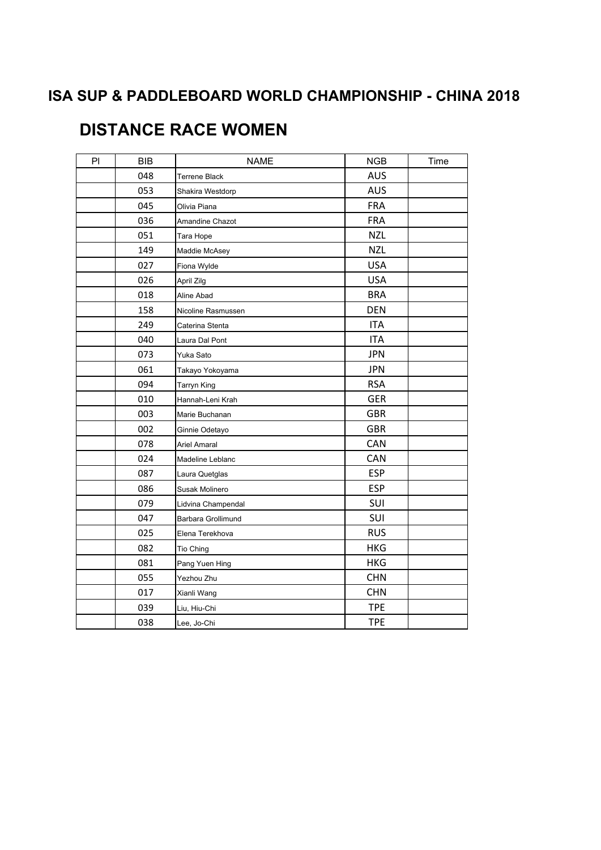# **DISTANCE RACE WOMEN**

| P <sub>1</sub> | <b>BIB</b> | <b>NAME</b>            | <b>NGB</b> | Time |
|----------------|------------|------------------------|------------|------|
|                | 048        | <b>Terrene Black</b>   | <b>AUS</b> |      |
|                | 053        | Shakira Westdorp       | <b>AUS</b> |      |
|                | 045        | Olivia Piana           | <b>FRA</b> |      |
|                | 036        | <b>Amandine Chazot</b> | <b>FRA</b> |      |
|                | 051        | Tara Hope              | <b>NZL</b> |      |
|                | 149        | Maddie McAsey          | <b>NZL</b> |      |
|                | 027        | Fiona Wylde            | <b>USA</b> |      |
|                | 026        | April Zilg             | <b>USA</b> |      |
|                | 018        | Aline Abad             | <b>BRA</b> |      |
|                | 158        | Nicoline Rasmussen     | <b>DEN</b> |      |
|                | 249        | Caterina Stenta        | <b>ITA</b> |      |
|                | 040        | Laura Dal Pont         | <b>ITA</b> |      |
|                | 073        | Yuka Sato              | <b>JPN</b> |      |
|                | 061        | Takayo Yokoyama        | <b>JPN</b> |      |
|                | 094        | Tarryn King            | <b>RSA</b> |      |
|                | 010        | Hannah-Leni Krah       | <b>GER</b> |      |
|                | 003        | Marie Buchanan         | <b>GBR</b> |      |
|                | 002        | Ginnie Odetayo         | <b>GBR</b> |      |
|                | 078        | <b>Ariel Amaral</b>    | CAN        |      |
|                | 024        | Madeline Leblanc       | CAN        |      |
|                | 087        | Laura Quetglas         | <b>ESP</b> |      |
|                | 086        | Susak Molinero         | <b>ESP</b> |      |
|                | 079        | Lidvina Champendal     | SUI        |      |
|                | 047        | Barbara Grollimund     | SUI        |      |
|                | 025        | Elena Terekhova        | <b>RUS</b> |      |
|                | 082        | Tio Ching              | <b>HKG</b> |      |
|                | 081        | Pang Yuen Hing         | <b>HKG</b> |      |
|                | 055        | Yezhou Zhu             | <b>CHN</b> |      |
|                | 017        | Xianli Wang            | <b>CHN</b> |      |
|                | 039        | Liu, Hiu-Chi           | <b>TPE</b> |      |
|                | 038        | Lee, Jo-Chi            | <b>TPE</b> |      |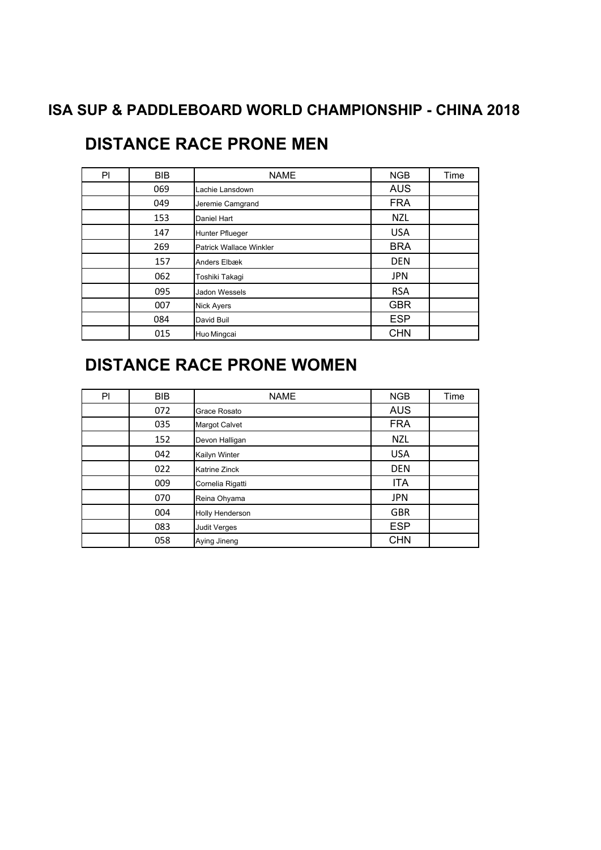| PI | <b>BIB</b> | <b>NAME</b>                    | <b>NGB</b> | Time |
|----|------------|--------------------------------|------------|------|
|    | 069        | Lachie Lansdown                | <b>AUS</b> |      |
|    | 049        | Jeremie Camgrand               | <b>FRA</b> |      |
|    | 153        | Daniel Hart                    | <b>NZL</b> |      |
|    | 147        | Hunter Pflueger                | <b>USA</b> |      |
|    | 269        | <b>Patrick Wallace Winkler</b> | <b>BRA</b> |      |
|    | 157        | Anders Elbæk                   | <b>DEN</b> |      |
|    | 062        | Toshiki Takagi                 | <b>JPN</b> |      |
|    | 095        | Jadon Wessels                  | <b>RSA</b> |      |
|    | 007        | <b>Nick Ayers</b>              | <b>GBR</b> |      |
|    | 084        | David Buil                     | <b>ESP</b> |      |
|    | 015        | Huo Mingcai                    | <b>CHN</b> |      |

# **DISTANCE RACE PRONE MEN**

# **DISTANCE RACE PRONE WOMEN**

| PI | <b>BIB</b> | <b>NAME</b>            | <b>NGB</b> | Time |
|----|------------|------------------------|------------|------|
|    | 072        | Grace Rosato           | <b>AUS</b> |      |
|    | 035        | <b>Margot Calvet</b>   | <b>FRA</b> |      |
|    | 152        | Devon Halligan         | <b>NZL</b> |      |
|    | 042        | Kailyn Winter          | <b>USA</b> |      |
|    | 022        | <b>Katrine Zinck</b>   | <b>DEN</b> |      |
|    | 009        | Cornelia Rigatti       | <b>ITA</b> |      |
|    | 070        | Reina Ohyama           | <b>JPN</b> |      |
|    | 004        | <b>Holly Henderson</b> | <b>GBR</b> |      |
|    | 083        | <b>Judit Verges</b>    | <b>ESP</b> |      |
|    | 058        | Aying Jineng           | <b>CHN</b> |      |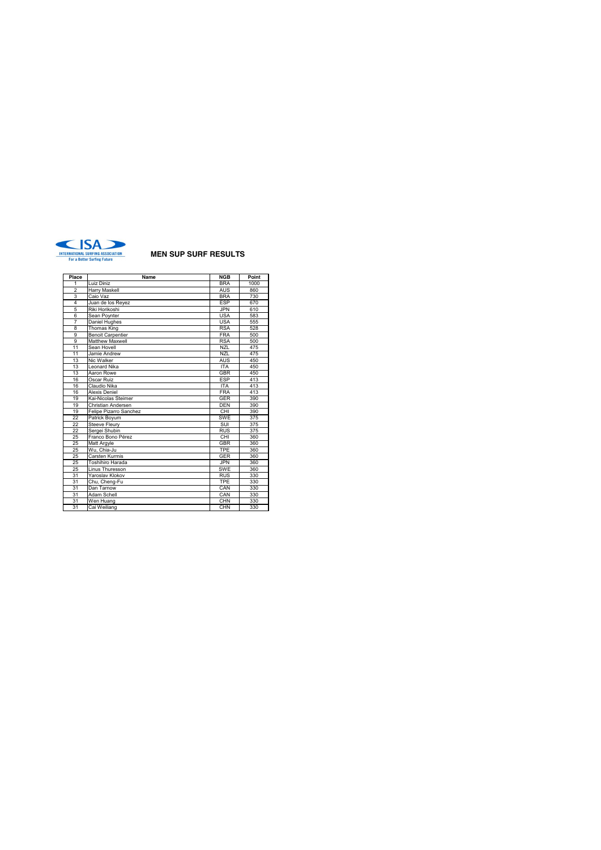

 $\mathbf{r}$ 

÷.

| Place          | Name                     | NGB        | Point |
|----------------|--------------------------|------------|-------|
| 1              | Luiz Diniz               | <b>BRA</b> | 1000  |
| $\overline{2}$ | Harry Maskell            | <b>AUS</b> | 860   |
| 3              | Caio Vaz                 | <b>BRA</b> | 730   |
| 4              | Juan de los Reyez        | <b>ESP</b> | 670   |
| 5              | Riki Horikoshi           | <b>JPN</b> | 610   |
| 6              | Sean Poynter             | <b>USA</b> | 583   |
| 7              | Daniel Hughes            | <b>USA</b> | 555   |
| 8              | <b>Thomas King</b>       | <b>RSA</b> | 528   |
| 9              | <b>Benoit Carpentier</b> | <b>FRA</b> | 500   |
| 9              | Matthew Maxwell          | <b>RSA</b> | 500   |
| 11             | Sean Hovell              | <b>NZL</b> | 475   |
| 11             | Jamie Andrew             | <b>NZL</b> | 475   |
| 13             | Nic Walker               | <b>AUS</b> | 450   |
| 13             | Leonard Nika             | <b>ITA</b> | 450   |
| 13             | Aaron Rowe               | <b>GBR</b> | 450   |
| 16             | Oscar Ruiz               | <b>ESP</b> | 413   |
| 16             | Claudio Nika             | <b>ITA</b> | 413   |
| 16             | Alexis Deniel            | <b>FRA</b> | 413   |
| 19             | Kai-Nicolas Steimer      | <b>GER</b> | 390   |
| 19             | Christian Andersen       | <b>DEN</b> | 390   |
| 19             | Felipe Pizarro Sanchez   | CHI        | 390   |
| 22             | Patrick Boyum            | <b>SWE</b> | 375   |
| 22             | <b>Steeve Fleury</b>     | <b>SUI</b> | 375   |
| 22             | Sergei Shubin            | <b>RUS</b> | 375   |
| 25             | Franco Bono Pérez        | CHI        | 360   |
| 25             | Matt Argyle              | <b>GBR</b> | 360   |
| 25             | Wu, Chia-Ju              | <b>TPE</b> | 360   |
| 25             | Carsten Kurmis           | <b>GER</b> | 360   |
| 25             | Toshihiro Harada         | <b>JPN</b> | 360   |
| 25             | <b>Linus Thuresson</b>   | <b>SWE</b> | 360   |
| 31             | Yaroslav Klokov          | <b>RUS</b> | 330   |
| 31             | Chu, Cheng-Fu            | TPE        | 330   |
| 31             | Dan Tarnow               | CAN        | 330   |
| 31             | Adam Schell              | CAN        | 330   |
| 31             | Wen Huang                | CHN        | 330   |
| 31             | Cai Weiliang             | CHN        | 330   |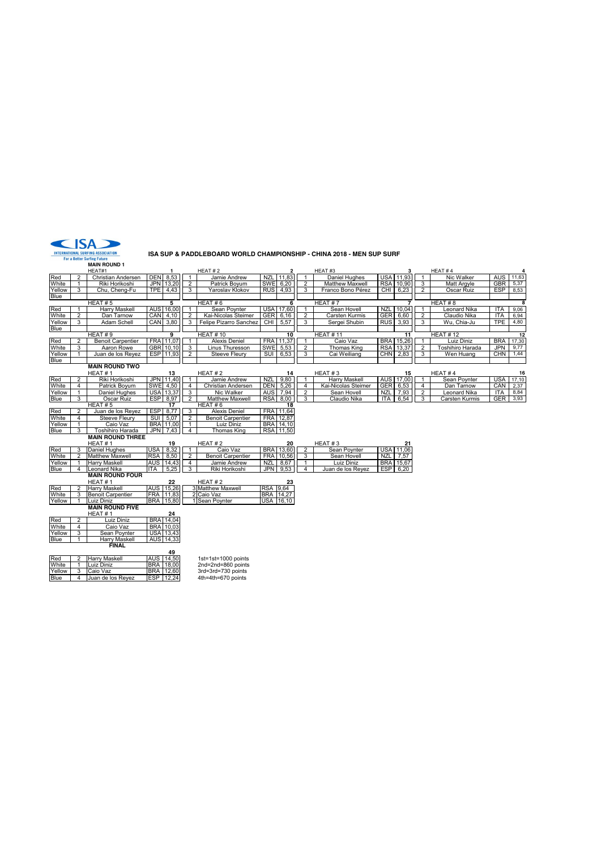

#### **ISA SUP & PADDLEBOARD WORLD CHAMPIONSHIP - CHINA 2018 - MEN SUP SURF**

**MAIN ROUND 1** HEAT#1 **1** HEAT # 2 **2** HEAT #3 **3** HEAT # 4 **4** Red 2 Christian Andersen DEN 8,53 1 Jamie Andrew NZL 11,83 1 HEAT-3<br>White 1 Riki Horikoshi JPN 13,20 2 Patrick Boyum SWE 6,20 2 Matthew Maxwell RSA 10,90 3 Matt Argyle GBR 5.37<br>Yellow 3 Chu, Cheng-Fu TPE 4,43 3 Yaroslav Kl White | 1 | Riki Horikoshi | JPN | 13,20 | 2 | Patrick Boyum | SWE | 6,20 | | 2 | Matthew Maxwell | RSA | 10,90 | 3 | Matt Argyle | GBR | 5,37 Yellow | 3 | Chu, Cheng-Fu | TPE | 4,43 | | 3 | Yaroslav Klokov | RUS | 4,93 | | 3 | Franco Bono Pérez | CHI | 6,23 | | 2 | Oscar Ruiz | ESP | 8,53 **Blue** HEAT # 5 **5** HEAT # 6 **6** HEAT # 7 **7** HEAT # 8 **8** Red | 1 | Harry Maskell | AUS | 16,00 | | 1 | Sean Poynter | USA | 17,60 | | 1 | Sean Hovell | NZL | 10,04 | 1 | Leonard Nika | ITA | 9,06 White | 2 | Dan Tarnow | CAN | 4,10 | | 2 | Kai-Nicolas Steimer | GER | 6,16 | | 2 | Carsten Kurmis | GER | 6,60 | | 2 | Claudio Nika | ITA | 6,94 Red 1 Harry Maskell AUS 16,00 1 Sean Poynter USA 17,60 1 Sean Hovell NZL 10,04 1 Leonard Nika ITA 9,06<br>White 2 Dan Tarnow CAN 4,10 2 Kai-Nicolas Steiner GER 6,16 2 Carsten Kurmis GER 6,60 2 Claudio Nika ITA 6,94<br>Yellow 3 A **Blue** HEAT # 9 **9** HEAT # 10 **10** HEAT # 11 **11** HEAT # 12 **12** Red 2 BenoitCarpentier FRA.[11,07] 1 AlexisDeniel FRA.[11,37] 1 Caio Vaz BRA.[15,26] 1 Luiz Diniz BRA 17,30<br>White 3 Aaron Rowe GBR.[10,10] 3 Linus Thuresson SWE[5,53] 2 Thomas King RSA.[13,37] 2 Toshihiro Harada JPN 9,77<br>Y **Blue MAIN ROUND TWO**<br> **HEAT # 1**<br>
Riki Horikoshi 16 HEAT # 1 13 HEAT # 2 14 HEAT # 3 HEAT # 4 HEAT # 3 HEAT # 4 HEAT # 3 HEAT # 4 HEAT # 4 HEAT # 4 HEAT # 4 HEAT # 4 HEAT # 4 HEAT # 4 HEAT # 4 HEAT # 4 HEAT # 4 HEAT # 4 HEAT # 4 HEAT # 4 HEAT # 4 HEAT # 4 HEAT # 4 HEAT White 4 Patrick Boyum SWE 4,50 4 Christian Andrew NZL 9,80 1 HEAT #3 4 HEAT #1 16<br>Red 2 Riki Horkboshi JPN 11,40 1 Christian Andersen DEN 5,26 1 Harry Maskell AUS 171,00 1 Sean Poynter USA 171<br>19 White 4 Daniel Hughes USA <u>Yellow | 1 Daniel Hughes | USA | 13,37 | 3 | Nic Walker | AUS | 7,94 | 2 | Sean Hovell | NZL | 7,93 | 2 | Leonard Nika | ITA | 8,84<br>Blue | 3 | Oscar Ruiz | ESP | 8,97 | 2 | Matthew Maxwell | RSA | 8,00 | 3 | Claudio Nika </u> White | 4 | Steeve Fleury | SUI | 5,07 | 2 | Benoit Carpentier | FRA | 12,87<br>Yellow | 1 | Caio Vaz | BRA | 11,00 | 1 | Luiz Diniz | BRA | 14,10 Blue | 3 | Toshihiro Harada | JPN | 7,43 | 4 | Thomas King | RSA | 11,50<br>**MAIN ROUND THREE** HEAT # 1 **19** HEAT # 2 **20** HEAT # 3 **21** Red 3 Daniel Hughes USA 8,32 1 Caio Vaz BRA 13,60 2 Sean Poynter USA 11,06 White 2 Matthew Maxwell RSA 8,50 2 Benoit Carpentier FRA 10,56 3 Sean Hovell NZL 7,57 Yellow 1 Harry Maskell AUS 14,43 4 Jamie Andrew NZL 8,67 1 Luiz Diniz BRA 15,67 Blue 4 Leonard Nika ITA 5,25 3 Riki Horikoshi JPN 9,53 4 Juan de los Reyez ESP 6,20 **MAIN ROUND FOUR** HEAT # 1 **22** HEAT # 2 **23** Red 2 Harry Maskell AUS 15,26 3 Matthew Maxwell<br>
White 3 Benoit Carpentier FRA 11,83 2 Caio Vaz<br>
Yellow 1 Luiz Diniz<br>
RRA 15,80 1 Sean Poynter White 3 Benoit Carpentier FRA 11,83 2 Caio Vaz<br>Yellow 1 Luiz Diniz BRA 15,80 1 Sean Poynter USA 16,10<br>MAIN ROUND FIVE HEAT # 1 **24**<br>
Luiz Diniz BRA 14,04<br>
Caio Vaz BRA 10,03 Red 2 Luiz Diniz BRA 14,04 White 4 Caio Vaz BRA 10,03 Yellow 3 Sean Poynter USA 13,43 **Harry Mask FINAL** 49<br>14,50<br>18,00 Red 2 Harry Maskell AUS 14,50 1st=1st=1000 points<br>
White 1 Luiz Diniz BRA 18,00 2nd=2nd=860 points<br>
Yellow 3 Caio Vaz BRA 12,60 3rd=3rd=730 points 1 Luiz Diniz BRA 18,00 2nd=2nd=860 points<br>3 Caio Vaz BRA 12,60 3rd=3rd=730 points Yellow 3 Caio Vaz BRA 12,60 3rd=3rd=730 points Blue 4 Juan de los Reyez ESP 12,24 4th=4th=670 points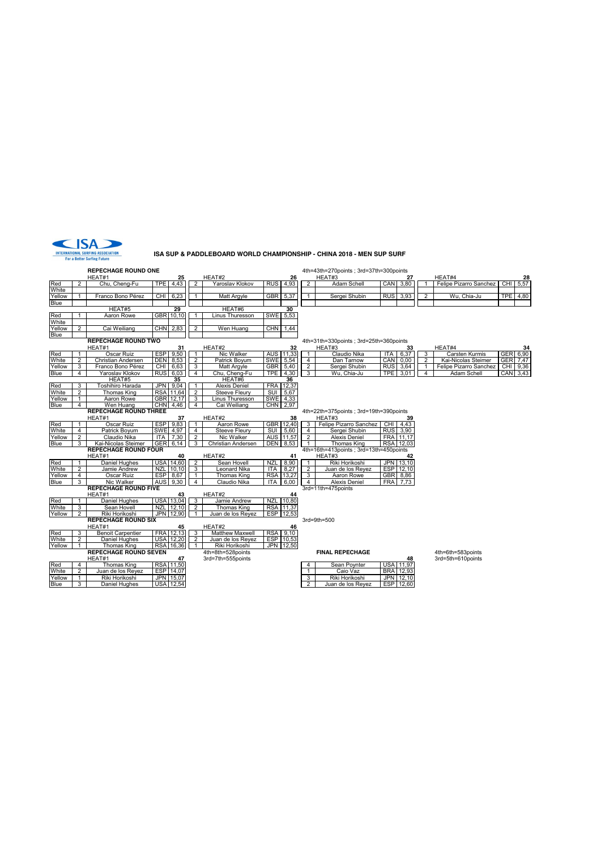

#### **ISA SUP & PADDLEBOARD WORLD CHAMPIONSHIP - CHINA 2018 - MEN SUP SURF**

|                       |                | <b>REPECHAGE ROUND ONE</b>   |            |                  |                   |                                           |                          |                   |                                | 4th=43th=270points ; 3rd=37th=300points          |            |                    |                |                        |                |
|-----------------------|----------------|------------------------------|------------|------------------|-------------------|-------------------------------------------|--------------------------|-------------------|--------------------------------|--------------------------------------------------|------------|--------------------|----------------|------------------------|----------------|
|                       |                | HEAT#1                       |            | 25               |                   | HEAT#2                                    |                          | 26                |                                | HEAT#3                                           |            | 27                 |                | HEAT#4                 | 28             |
| Red                   | $\overline{2}$ | Chu, Cheng-Fu                | <b>TPE</b> | 4,43             | $\overline{2}$    | Yaroslav Klokov                           |                          | RUS 4,93          | $\overline{2}$                 | Adam Schell                                      |            | CAN 3,80           |                | Felipe Pizarro Sanchez | CHI 5,57       |
| White                 |                |                              |            |                  |                   |                                           |                          |                   |                                |                                                  |            |                    |                |                        |                |
| Yellow                | $\mathbf{1}$   | Franco Bono Pérez            | <b>CHI</b> | 6,23             | $\mathbf{1}$      | Matt Argyle                               | GBR 5,37                 |                   | $\mathbf{1}$                   | Sergei Shubin                                    | <b>RUS</b> | 3,93               | $\overline{2}$ | Wu, Chia-Ju            | TPE 4,80       |
| <b>Blue</b>           |                |                              |            |                  |                   |                                           |                          |                   |                                |                                                  |            |                    |                |                        |                |
|                       |                | HEAT#5                       |            | 29               |                   | HEAT#6                                    |                          | $\overline{30}$   |                                |                                                  |            |                    |                |                        |                |
| Red                   |                | Aaron Rowe                   |            | GBR 10,10        | $\mathbf{1}$      | <b>Linus Thuresson</b>                    |                          | SWE 5,53          |                                |                                                  |            |                    |                |                        |                |
| White                 |                |                              |            |                  |                   |                                           |                          |                   |                                |                                                  |            |                    |                |                        |                |
| Yellow                | 2              | Cai Weiliang                 | <b>CHN</b> | 2,83             | 2                 | Wen Huang                                 | <b>CHN</b>               | 1,44              |                                |                                                  |            |                    |                |                        |                |
| <b>Blue</b>           |                | <b>REPECHAGE ROUND TWO</b>   |            |                  |                   |                                           |                          |                   |                                |                                                  |            |                    |                |                        |                |
|                       |                | HEAT#1                       |            |                  |                   | HEAT#2                                    |                          |                   |                                | 4th=31th=330points; 3rd=25th=360points<br>HEAT#3 |            | 33                 |                | HEAT#4                 |                |
| Red                   | 1              | Oscar Ruiz                   |            | 31<br>ESP 9,50   | $\mathbf{1}$      | Nic Walker                                |                          | 32<br>AUS 11,33   | $\mathbf{1}$                   | Claudio Nika                                     | <b>ITA</b> | 6.37               | 3              | Carsten Kurmis         | 34<br>GER 6,90 |
| White                 | $\overline{2}$ | Christian Andersen           | <b>DEN</b> | 8,53             | $\overline{2}$    | Patrick Boyum                             | SWE 5,54                 |                   | $\overline{4}$                 | Dan Tarnow                                       |            | CAN 0.00           | $\overline{2}$ | Kai-Nicolas Steimer    | GER 7.47       |
| Yellow                | 3              | Franco Bono Pérez            |            | CHI 6,63         | 3                 | Matt Argyle                               |                          | GBR 5,40          | $\overline{2}$                 | Sergei Shubin                                    |            | RUS 3.64           | $\mathbf{1}$   | Felipe Pizarro Sanchez | CHI 9,36       |
| <b>Blue</b>           | 4              | Yaroslav Klokov              | <b>RUS</b> | 6,03             | $\overline{4}$    | Chu, Cheng-Fu                             | TPE I                    | 4,30              | 3                              | Wu, Chia-Ju                                      | <b>TPE</b> | 3,01               | $\overline{4}$ | Adam Schell            | CAN 3,43       |
|                       |                | HEAT#5                       |            | 35               |                   | HEAT#6                                    |                          | 36                |                                |                                                  |            |                    |                |                        |                |
| Red                   | 3              | Toshihiro Harada             | <b>JPN</b> | 9,04             | 1                 | <b>Alexis Deniel</b>                      |                          | FRA 12,37         |                                |                                                  |            |                    |                |                        |                |
| White                 | $\overline{2}$ | Thomas King                  |            | RSA 11,64        | $\overline{2}$    | <b>Steeve Fleury</b>                      | SUI                      | 5,67              |                                |                                                  |            |                    |                |                        |                |
| Yellow                | $\mathbf{1}$   | Aaron Rowe                   |            | GBR 12,17        | 3                 | Linus Thuresson                           |                          | SWE 4,33          |                                |                                                  |            |                    |                |                        |                |
| <b>Blue</b>           | 4              | Wen Huang                    | CHN        | 4,46             | $\overline{4}$    | Cai Weiliang                              |                          | CHN 2,97          |                                |                                                  |            |                    |                |                        |                |
|                       |                | <b>REPECHAGE ROUND THREE</b> |            |                  |                   |                                           |                          |                   |                                | 4th=22th=375points ; 3rd=19th=390points          |            |                    |                |                        |                |
|                       |                | HEAT#1                       |            | 37               |                   | HEAT#2                                    |                          | 38                |                                | HEAT#3                                           |            | 39                 |                |                        |                |
| Red                   |                | Oscar Ruiz                   | <b>ESP</b> | 9,83             | $\mathbf{1}$      | Aaron Rowe                                |                          | GBR 12,40         | 3                              | Felipe Pizarro Sanchez                           | CHI        | 4,43               |                |                        |                |
| White                 | $\overline{4}$ | Patrick Boyum                | <b>SWE</b> | 4,97             | 4                 | <b>Steeve Fleury</b>                      | <b>SUI</b>               | 5,60              | $\overline{4}$                 | Sergei Shubin                                    |            | RUS 3,90           |                |                        |                |
| Yellow                | $\overline{2}$ | Claudio Nika                 | <b>ITA</b> | 7,30             | $\overline{2}$    | Nic Walker                                |                          | AUS 11,57         | $\overline{2}$                 | <b>Alexis Deniel</b>                             |            | FRA 11,17          |                |                        |                |
| <b>Blue</b>           | 3              | Kai-Nicolas Steimer          | GER        | 6,14             | 3                 | Christian Andersen                        |                          | <b>DEN</b> 8,53   | $\mathbf{1}$                   | Thomas King                                      |            | RSA 12,03          |                |                        |                |
|                       |                | <b>REPECHAGE ROUND FOUR</b>  |            |                  |                   |                                           |                          |                   |                                | 4th=16th=413points; 3rd=13th=450points           |            |                    |                |                        |                |
|                       |                | HEAT#1                       |            | 40               |                   | HEAT#2                                    |                          | 41                |                                | HEAT#3                                           |            | 42                 |                |                        |                |
| Red<br>White          | 2              | <b>Daniel Hughes</b>         | NZL        | <b>USA 14,60</b> | 2                 | Sean Hovell                               | <b>NZL</b><br><b>ITA</b> | 8,90              | $\mathbf{1}$<br>$\overline{2}$ | Riki Horikoshi                                   | <b>JPN</b> | 13,10<br>ESP 12,10 |                |                        |                |
|                       | 4              | Jamie Andrew<br>Oscar Ruiz   | <b>ESP</b> | 10.10<br>8,67    | 3<br>$\mathbf{1}$ | <b>Leonard Nika</b><br><b>Thomas King</b> |                          | 8,27<br>RSA 13,27 | 3                              | Juan de los Reyez<br>Aaron Rowe                  |            | GBR 8,86           |                |                        |                |
| Yellow<br><b>Blue</b> | 3              | Nic Walker                   | <b>AUS</b> | 9.30             | $\overline{4}$    | Claudio Nika                              | <b>ITA</b>               | 6.00              | $\overline{4}$                 | <b>Alexis Deniel</b>                             | <b>FRA</b> | 7,73               |                |                        |                |
|                       |                | <b>REPECHAGE ROUND FIVE</b>  |            |                  |                   |                                           |                          |                   |                                | 3rd=11th=475points                               |            |                    |                |                        |                |
|                       |                | HEAT#1                       |            | 43               |                   | HEAT#2                                    |                          | 44                |                                |                                                  |            |                    |                |                        |                |
| Red                   |                | Daniel Hughes                |            | USA 13,04        | 3                 | Jamie Andrew                              | <b>NZL</b>               | 10,80             |                                |                                                  |            |                    |                |                        |                |
| White                 | 3              | Sean Hovell                  | <b>NZL</b> | 12,10            | $\overline{2}$    | Thomas King                               |                          | RSA 11,37         |                                |                                                  |            |                    |                |                        |                |
| Yellow                | 2              | Riki Horikoshi               |            | JPN 12,90        | 1                 | Juan de los Reyez                         |                          | ESP 12,53         |                                |                                                  |            |                    |                |                        |                |
|                       |                | <b>REPECHAGE ROUND SIX</b>   |            |                  |                   |                                           |                          |                   |                                | 3rd=9th=500                                      |            |                    |                |                        |                |
|                       |                | HEAT#1                       |            | 45               |                   | HEAT#2                                    |                          | 46                |                                |                                                  |            |                    |                |                        |                |
| Red                   | 3              | <b>Benoit Carpentier</b>     |            | FRA 12.13        | 3                 | <b>Matthew Maxwell</b>                    |                          | RSA 9,10          |                                |                                                  |            |                    |                |                        |                |
| White                 | $\overline{2}$ | Daniel Hughes                |            | <b>USA 12,20</b> | 2                 | Juan de los Reyez                         |                          | ESP 10,53         |                                |                                                  |            |                    |                |                        |                |
| Yellow                | $\mathbf{1}$   | Thomas King                  |            | RSA 16,36        | $\mathbf{1}$      | Riki Horikoshi                            |                          | JPN 12,50         |                                |                                                  |            |                    |                |                        |                |
|                       |                | <b>REPECHAGE ROUND SEVEN</b> |            |                  |                   | 4th=8th=528points                         |                          |                   |                                | <b>FINAL REPECHAGE</b>                           |            |                    |                | 4th=6th=583points      |                |
|                       |                | HEAT#1                       |            | 47               |                   | 3rd=7th=555points                         |                          |                   |                                |                                                  |            | 48                 |                | 3rd=5th=610points      |                |
| Red                   | 4              | Thomas King                  |            | RSA 11,50        |                   |                                           |                          |                   | 4                              | Sean Poynter                                     |            | <b>USA 11,97</b>   |                |                        |                |
| White                 | $\overline{2}$ | Juan de los Reyez            |            | ESP 14,07        |                   |                                           |                          |                   | $\mathbf{1}$                   | Caio Vaz                                         |            | <b>BRA</b> 12,93   |                |                        |                |
| Yellow                | $\mathbf{1}$   | Riki Horikoshi               |            | JPN 15,07        |                   |                                           |                          |                   | 3                              | Riki Horikoshi                                   | <b>JPN</b> | 12,10              |                |                        |                |
| <b>Blue</b>           | 3              | Daniel Hughes                |            | <b>USA 12,54</b> |                   |                                           |                          |                   | $\overline{2}$                 | Juan de los Reyez                                |            | ESP 12,60          |                |                        |                |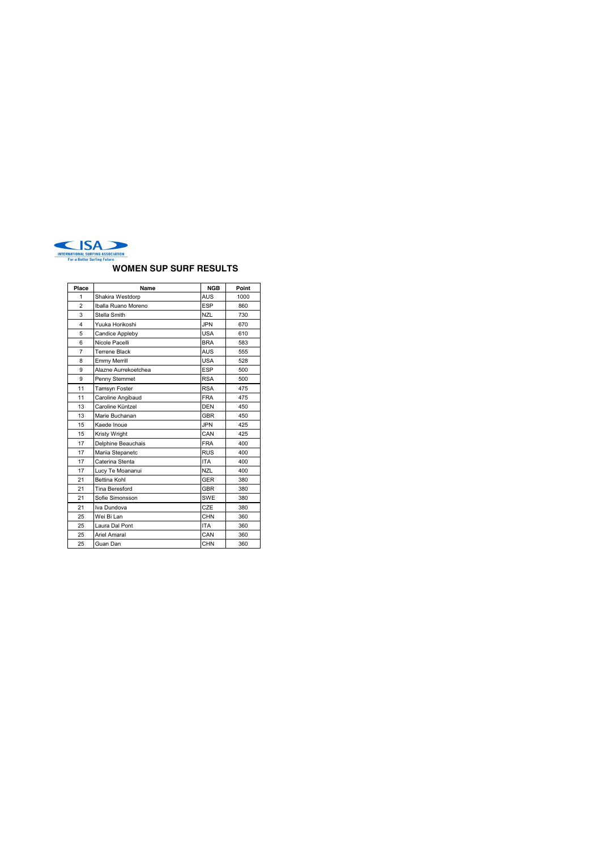

### **WOMEN SUP SURF RESULTS**

| Place          | Name                  | <b>NGB</b> | Point |  |  |
|----------------|-----------------------|------------|-------|--|--|
| 1              | Shakira Westdorp      | AUS        | 1000  |  |  |
| $\overline{2}$ | Iballa Ruano Moreno   | <b>ESP</b> | 860   |  |  |
| 3              | Stella Smith          | NZL        | 730   |  |  |
| $\overline{4}$ | Yuuka Horikoshi       | <b>JPN</b> | 670   |  |  |
| 5              | Candice Appleby       | <b>USA</b> | 610   |  |  |
| 6              | Nicole Pacelli        | <b>BRA</b> | 583   |  |  |
| $\overline{7}$ | Terrene Black         | AUS        | 555   |  |  |
| 8              | <b>Emmy Merrill</b>   | USA        | 528   |  |  |
| 9              | Alazne Aurrekoetchea  | <b>ESP</b> | 500   |  |  |
| 9              | Penny Stemmet         | <b>RSA</b> | 500   |  |  |
| 11             | Tamsyn Foster         | <b>RSA</b> | 475   |  |  |
| 11             | Caroline Angibaud     | <b>FRA</b> | 475   |  |  |
| 13             | Caroline Küntzel      | DEN        | 450   |  |  |
| 13             | Marie Buchanan        | <b>GBR</b> | 450   |  |  |
| 15             | Kaede Inoue           | JPN.       | 425   |  |  |
| 15             | Kristy Wright         | CAN        | 425   |  |  |
| 17             | Delphine Beauchais    | <b>FRA</b> | 400   |  |  |
| 17             | Mariia Stepanetc      | <b>RUS</b> | 400   |  |  |
| 17             | Caterina Stenta       | <b>ITA</b> | 400   |  |  |
| 17             | Lucy Te Moananui      | NZL        | 400   |  |  |
| 21             | <b>Bettina Kohl</b>   | <b>GER</b> | 380   |  |  |
| 21             | <b>Tina Beresford</b> | GBR        | 380   |  |  |
| 21             | Sofie Simonsson       | SWE        | 380   |  |  |
| 21             | Iva Dundova           | CZE        | 380   |  |  |
| 25             | Wei Bi Lan            | <b>CHN</b> | 360   |  |  |
| 25             | Laura Dal Pont        | <b>ITA</b> | 360   |  |  |
| 25             | Ariel Amaral          | CAN        | 360   |  |  |
| 25             | Guan Dan              | CHN        | 360   |  |  |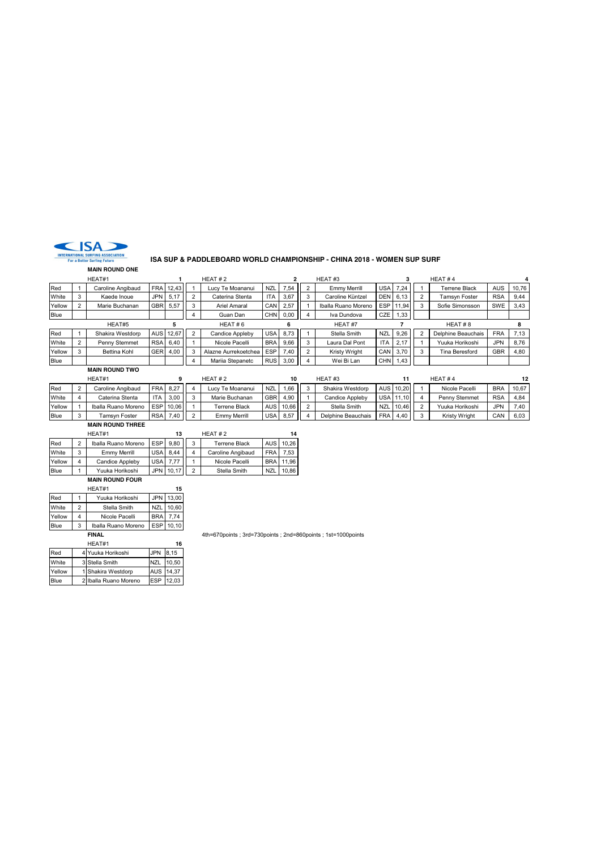

#### **ISA SUP & PADDLEBOARD WORLD CHAMPIONSHIP - CHINA 2018 - WOMEN SUP SURF**

**MAIN ROUND ONE** HEAT#1 **1** HEAT # 2 **2** HEAT #3 **3** HEAT # 4 **4** Red 1 Caroline Angibaud FRA 12,43 1 Lucy Te Moananui NZL 7,54 2 Emmy Merrill USA 7,24 1 Terrene Black AUS 10,76<br>White 3 Kaede Inoue JPN 5,17 2 Caterina Stenta ITA 3,67 3 Caroline Küntzel DEN 6,13 2 Tamsyn Foster RSA 9,44 White | 3 | Kaede Inoue | JPN | 5,17 | | 2 | Caterina Stenta | ITA | 3,67 | | 3 | Caroline Küntzel | DEN | 6,13 | | 2 | Tamsyn Foster | RSA | 9,44 Yellow 2 Marie Buchanan GBR 5,57 3 Ariel Amaral CAN 2,57 1 Iballa Ruano Moreno ESP 11,94 3 Sofie Simonsson SWE 3,43 Blue 4 Guan Dan CHN 0,00 4 Iva Dundova CZE 1,33 HEAT#5 **5** HEAT # 6 **6** HEAT #7 **7** HEAT # 8 **8** Red 1 Shakira Westdorp AUS 12,67 2 Candice Appleby USA 8,73 1 Stella Smith NZL 9,26 2 Delphine Beauchais FRA 7,13 White 2 | Penny Stemmet | RSA | 6,40 | | 1 | Nicole Pacelli | BRA | 9,66 | | 3 | Laura Dal Pont | ITA | 2,17 | | 1 | Yuuka Horikoshi | JPN | 8,76 Yellow 3 Bettina Kohl GER 4,00 3 Alazne Aurrekoetchea ESP 7,40 2 Kristy Wright CAN 3,70 3 Tina Beresford GBR 4,80<br>Blue Blue CHN 1,43 Blue | | | | | 4 | Mariia Stepanetc | RUS | 3,00 | 4 | Wei Bi Lan | CHN | 1,43 **MAIN ROUND TWO**

| HEAT#1 |  | HEAT#2              |            | 10       |  | HEAT#3              |                  |        | HEAT#4 |                    |     |           |        |                      |            |       |
|--------|--|---------------------|------------|----------|--|---------------------|------------------|--------|--------|--------------------|-----|-----------|--------|----------------------|------------|-------|
| Red    |  | Caroline Angibaud   |            | FRA 8.27 |  | Lucy Te Moananui    | <b>NZL</b>       | $1,66$ |        | Shakira Westdorp   |     | AUS 10.20 |        | Nicole Pacelli       | <b>BRA</b> | 10.67 |
| White  |  | Caterina Stenta     | <b>ITA</b> | 3.00     |  | Marie Buchanan      | <b>GBR</b>       | 4.90   |        | Candice Appleby    |     | USA 11.10 |        | Penny Stemmet        | RSf        | 4.84  |
| Yellow |  | Iballa Ruano Moreno | <b>ESP</b> | 10.06    |  | Terrene Black       | AUS <sup>I</sup> | 10.66  |        | Stella Smith       | NZL | . 10.46   |        | Yuuka Horikoshi      | JPN        | 7.40  |
| Blue   |  | Tamsvn Foster       | <b>RSA</b> | 7.40     |  | <b>Emmy Merrill</b> | <b>USA</b>       | 8,57   |        | Delphine Beauchais |     | FRA 4.40  | $\sim$ | <b>Kristy Wright</b> | CAN        | 6.03  |

**MAIN ROUND THREE**

|             |                | HEAT#1                 |            | 13    |                | HEAT#2               | 14               |       |  |
|-------------|----------------|------------------------|------------|-------|----------------|----------------------|------------------|-------|--|
| Red         | $\overline{2}$ | Iballa Ruano Moreno    | <b>ESP</b> | 9.80  | 3              | <b>Terrene Black</b> | <b>AUS</b>       | 10.26 |  |
| White       | 3              | Emmy Merrill           | <b>USA</b> | 8.44  | 4              | Caroline Angibaud    | <b>FRA</b>       | 7.53  |  |
| Yellow      | 4              | Candice Appleby        | <b>USA</b> | 7.77  |                | Nicole Pacelli       | <b>BRA</b>       | 11.96 |  |
| <b>Blue</b> |                | Yuuka Horikoshi        | <b>JPN</b> | 10.17 | $\mathfrak{p}$ | Stella Smith         | N <sub>Z</sub> I | 10.86 |  |
|             |                | <b>MAIN ROUND FOUR</b> |            |       |                |                      |                  |       |  |

| HEAT#1 |   |                     |            |       |  |  |  |  |  |  |  |
|--------|---|---------------------|------------|-------|--|--|--|--|--|--|--|
| Red    |   | Yuuka Horikoshi     | JPN I      | 13.00 |  |  |  |  |  |  |  |
| White  | 2 | Stella Smith        | <b>NZL</b> | 10.60 |  |  |  |  |  |  |  |
| Yellow | 4 | Nicole Pacelli      | <b>BRA</b> | 7.74  |  |  |  |  |  |  |  |
| Blue   | 3 | Iballa Ruano Moreno | <b>ESP</b> | 10,10 |  |  |  |  |  |  |  |

| HEAT#1 |  |                       |            |       |  |  |  |  |  |
|--------|--|-----------------------|------------|-------|--|--|--|--|--|
| Red    |  | 4 Yuuka Horikoshi     | <b>JPN</b> | 8.15  |  |  |  |  |  |
| White  |  | 3 Stella Smith        | <b>NZL</b> | 10.50 |  |  |  |  |  |
| Yellow |  | 1 Shakira Westdorp    | AUS 14,37  |       |  |  |  |  |  |
| Blue   |  | 2 Iballa Ruano Moreno | ESP        | 12.03 |  |  |  |  |  |

**FINAL** 4th=670points ; 3rd=730points ; 2nd=860points ; 1st=1000points